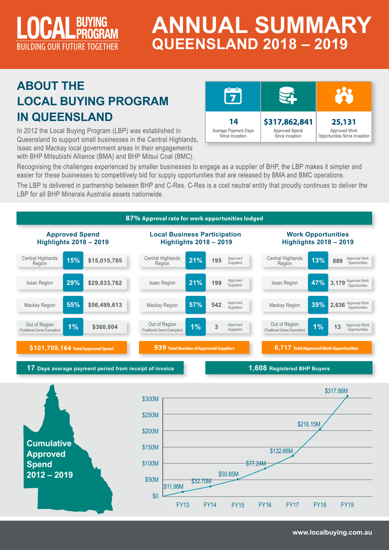

# **ANNUAL SUMMARY QUEENSLAND 2018 – 2019**

## **ABOUT THE LOCAL BUYING PROGRAM IN QUEENSLAND**

In 2012 the Local Buying Program (LBP) was established in Queensland to support small businesses in the Central Highlands, Isaac and Mackay local government areas in their engagements with BHP Mitsubishi Alliance (BMA) and BHP Mitsui Coal (BMC).



Recognising the challenges experienced by smaller businesses to engage as a supplier of BHP, the LBP makes it simpler and easier for these businesses to competitively bid for supply opportunities that are released by BMA and BMC operations.

The LBP is delivered in partnership between BHP and C-Res. C-Res is a cost neutral entity that proudly continues to deliver the LBP for all BHP Minerals Australia assets nationwide.